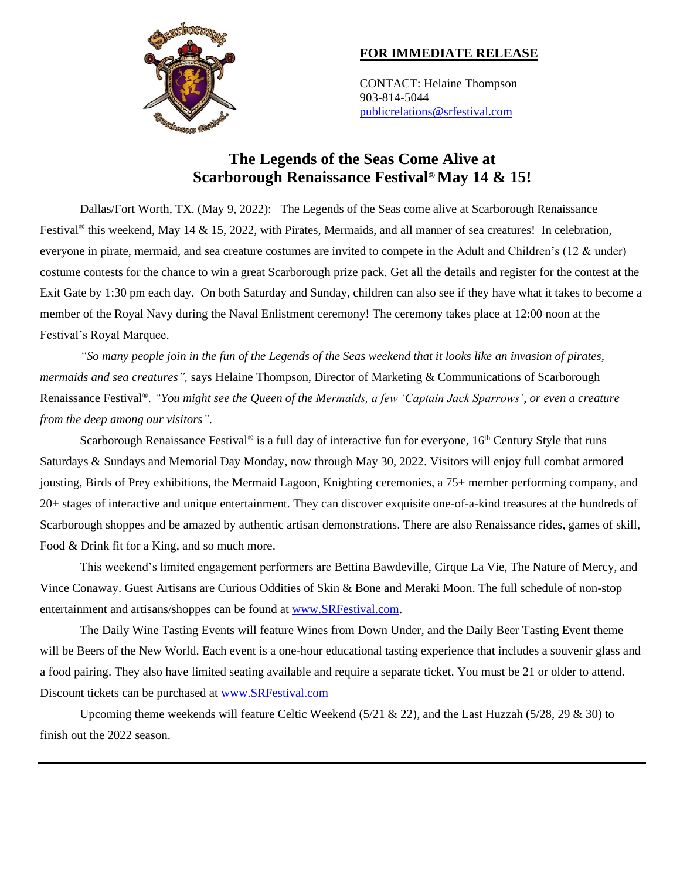

## **FOR IMMEDIATE RELEASE**

CONTACT: Helaine Thompson 903-814-5044 [publicrelations@srfestival.com](mailto:publicrelations@srfestival.com)

## **The Legends of the Seas Come Alive at Scarborough Renaissance Festival® May 14 & 15!**

Dallas/Fort Worth, TX. (May 9, 2022): The Legends of the Seas come alive at Scarborough Renaissance Festival<sup>®</sup> this weekend, May 14 & 15, 2022, with Pirates, Mermaids, and all manner of sea creatures! In celebration, everyone in pirate, mermaid, and sea creature costumes are invited to compete in the Adult and Children's (12 & under) costume contests for the chance to win a great Scarborough prize pack. Get all the details and register for the contest at the Exit Gate by 1:30 pm each day. On both Saturday and Sunday, children can also see if they have what it takes to become a member of the Royal Navy during the Naval Enlistment ceremony! The ceremony takes place at 12:00 noon at the Festival's Royal Marquee.

*"So many people join in the fun of the Legends of the Seas weekend that it looks like an invasion of pirates, mermaids and sea creatures",* says Helaine Thompson, Director of Marketing & Communications of Scarborough Renaissance Festival®. *"You might see the Queen of the Mermaids, a few 'Captain Jack Sparrows', or even a creature from the deep among our visitors".*

Scarborough Renaissance Festival<sup>®</sup> is a full day of interactive fun for everyone,  $16<sup>th</sup>$  Century Style that runs Saturdays & Sundays and Memorial Day Monday, now through May 30, 2022. Visitors will enjoy full combat armored jousting, Birds of Prey exhibitions, the Mermaid Lagoon, Knighting ceremonies, a 75+ member performing company, and 20+ stages of interactive and unique entertainment. They can discover exquisite one-of-a-kind treasures at the hundreds of Scarborough shoppes and be amazed by authentic artisan demonstrations. There are also Renaissance rides, games of skill, Food & Drink fit for a King, and so much more.

This weekend's limited engagement performers are Bettina Bawdeville, Cirque La Vie, The Nature of Mercy, and Vince Conaway. Guest Artisans are Curious Oddities of Skin & Bone and Meraki Moon. The full schedule of non-stop entertainment and artisans/shoppes can be found at [www.SRFestival.com.](http://www.srfestival.com/)

The Daily Wine Tasting Events will feature Wines from Down Under, and the Daily Beer Tasting Event theme will be Beers of the New World. Each event is a one-hour educational tasting experience that includes a souvenir glass and a food pairing. They also have limited seating available and require a separate ticket. You must be 21 or older to attend. Discount tickets can be purchased at [www.SRFestival.com](http://www.srfestival.com/)

Upcoming theme weekends will feature Celtic Weekend (5/21 & 22), and the Last Huzzah (5/28, 29 & 30) to finish out the 2022 season.